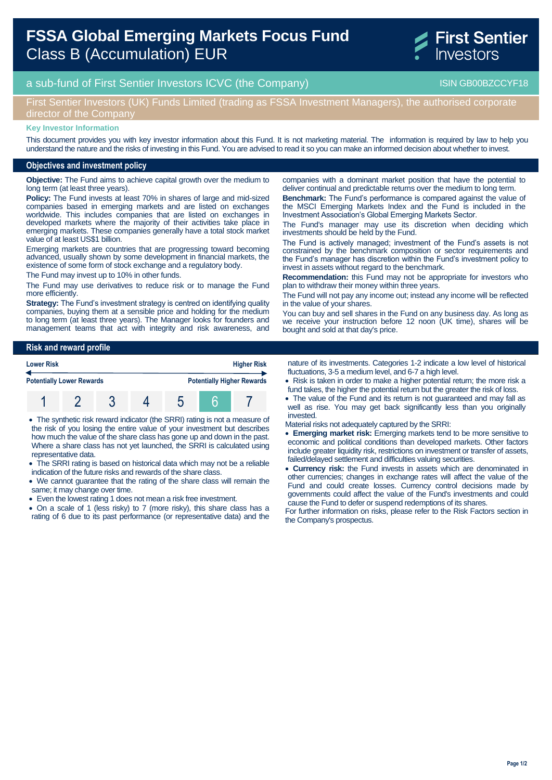# **FSSA Global Emerging Markets Focus Fund**  Class B (Accumulation) EUR



# a sub-fund of First Sentier Investors ICVC (the Company) and the Company ISIN GB00BZCCYF18

# First Sentier Investors (UK) Funds Limited (trading as FSSA Investment Managers), the authorised corporate director of the Company

#### **Key Investor Information**

This document provides you with key investor information about this Fund. It is not marketing material. The information is required by law to help you understand the nature and the risks of investing in this Fund. You are advised to read it so you can make an informed decision about whether to invest.

### **Objectives and investment policy**

**Objective:** The Fund aims to achieve capital growth over the medium to long term (at least three years).

**Policy:** The Fund invests at least 70% in shares of large and mid-sized companies based in emerging markets and are listed on exchanges worldwide. This includes companies that are listed on exchanges in developed markets where the majority of their activities take place in emerging markets. These companies generally have a total stock market value of at least US\$1 billion.

Emerging markets are countries that are progressing toward becoming advanced, usually shown by some development in financial markets, the existence of some form of stock exchange and a regulatory body.

The Fund may invest up to 10% in other funds.

The Fund may use derivatives to reduce risk or to manage the Fund more efficiently.

**Strategy:** The Fund's investment strategy is centred on identifying quality companies, buying them at a sensible price and holding for the medium to long term (at least three years). The Manager looks for founders and management teams that act with integrity and risk awareness, and

**Risk and reward profile**

| <b>Lower Risk</b>                |  |  |  | <b>Higher Risk</b>                |  |  |  |
|----------------------------------|--|--|--|-----------------------------------|--|--|--|
| <b>Potentially Lower Rewards</b> |  |  |  | <b>Potentially Higher Rewards</b> |  |  |  |
|                                  |  |  |  |                                   |  |  |  |

 The synthetic risk reward indicator (the SRRI) rating is not a measure of the risk of you losing the entire value of your investment but describes how much the value of the share class has gone up and down in the past. Where a share class has not yet launched, the SRRI is calculated using representative data.

- The SRRI rating is based on historical data which may not be a reliable indication of the future risks and rewards of the share class.
- We cannot guarantee that the rating of the share class will remain the same; it may change over time.
- Even the lowest rating 1 does not mean a risk free investment.
- On a scale of 1 (less risky) to 7 (more risky), this share class has a rating of 6 due to its past performance (or representative data) and the

companies with a dominant market position that have the potential to deliver continual and predictable returns over the medium to long term. **Benchmark:** The Fund's performance is compared against the value of the MSCI Emerging Markets Index and the Fund is included in the

Investment Association's Global Emerging Markets Sector. The Fund's manager may use its discretion when deciding which investments should be held by the Fund.

The Fund is actively managed; investment of the Fund's assets is not constrained by the benchmark composition or sector requirements and the Fund's manager has discretion within the Fund's investment policy to invest in assets without regard to the benchmark.

**Recommendation:** this Fund may not be appropriate for investors who plan to withdraw their money within three years.

The Fund will not pay any income out; instead any income will be reflected in the value of your shares.

You can buy and sell shares in the Fund on any business day. As long as we receive your instruction before 12 noon (UK time), shares will be bought and sold at that day's price.

nature of its investments. Categories 1-2 indicate a low level of historical fluctuations, 3-5 a medium level, and 6-7 a high level.

- Risk is taken in order to make a higher potential return; the more risk a fund takes, the higher the potential return but the greater the risk of loss.
- The value of the Fund and its return is not guaranteed and may fall as well as rise. You may get back significantly less than you originally invested.
- Material risks not adequately captured by the SRRI:
- **Emerging market risk:** Emerging markets tend to be more sensitive to economic and political conditions than developed markets. Other factors include greater liquidity risk, restrictions on investment or transfer of assets, failed/delayed settlement and difficulties valuing securities.
- **Currency risk:** the Fund invests in assets which are denominated in other currencies; changes in exchange rates will affect the value of the Fund and could create losses. Currency control decisions made by governments could affect the value of the Fund's investments and could cause the Fund to defer or suspend redemptions of its shares.

For further information on risks, please refer to the Risk Factors section in the Company's prospectus.